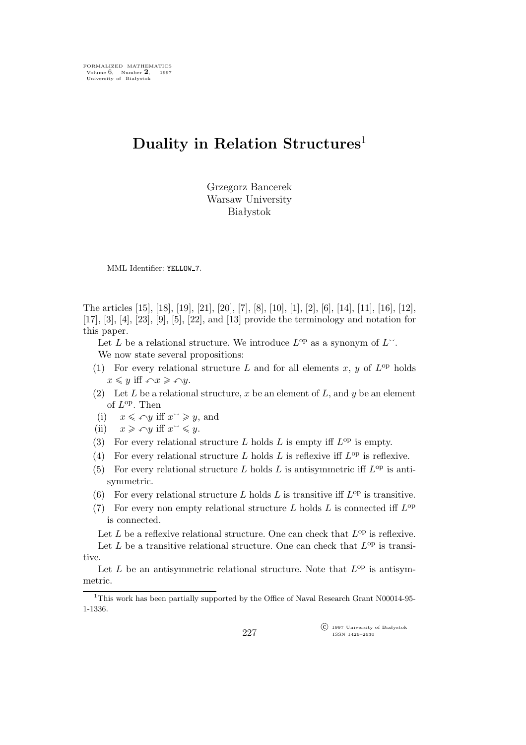# **Duality in Relation Structures**<sup>1</sup>

Grzegorz Bancerek Warsaw University Białystok

MML Identifier: YELLOW<sub>-7</sub>.

The articles [15], [18], [19], [21], [20], [7], [8], [10], [1], [2], [6], [14], [11], [16], [12], [17], [3], [4], [23], [9], [5], [22], and [13] provide the terminology and notation for this paper.

Let L be a relational structure. We introduce  $L^{\rm op}$  as a synonym of  $L^{\sim}$ . We now state several propositions:

- (1) For every relational structure L and for all elements  $x, y$  of  $L^{op}$  holds  $x \leq y$  iff  $\bigcap x \geq \bigcap y$ .
- (2) Let L be a relational structure, x be an element of L, and y be an element of  $L^{\text{op}}$ . Then
- (i)  $x \leq \log \inf x^{\sim} \geq y$ , and
- (ii)  $x \geqslant \log y$  iff  $x \leqslant y$ .
- (3) For every relational structure L holds L is empty iff  $L^{\text{op}}$  is empty.
- (4) For every relational structure L holds L is reflexive iff  $L^{op}$  is reflexive.
- (5) For every relational structure L holds L is antisymmetric iff  $L^{\text{op}}$  is antisymmetric.
- (6) For every relational structure L holds L is transitive iff  $L^{\rm op}$  is transitive.
- (7) For every non empty relational structure  $L$  holds  $L$  is connected iff  $L^{\rm op}$ is connected.

Let L be a reflexive relational structure. One can check that  $L^{\text{op}}$  is reflexive.

Let L be a transitive relational structure. One can check that  $L^{\text{op}}$  is transitive.

Let  $L$  be an antisymmetric relational structure. Note that  $L^{op}$  is antisymmetric.

 $\widehat{C}$  1997 University of Białystok ISSN 1426–2630

<sup>&</sup>lt;sup>1</sup>This work has been partially supported by the Office of Naval Research Grant N00014-95-1-1336.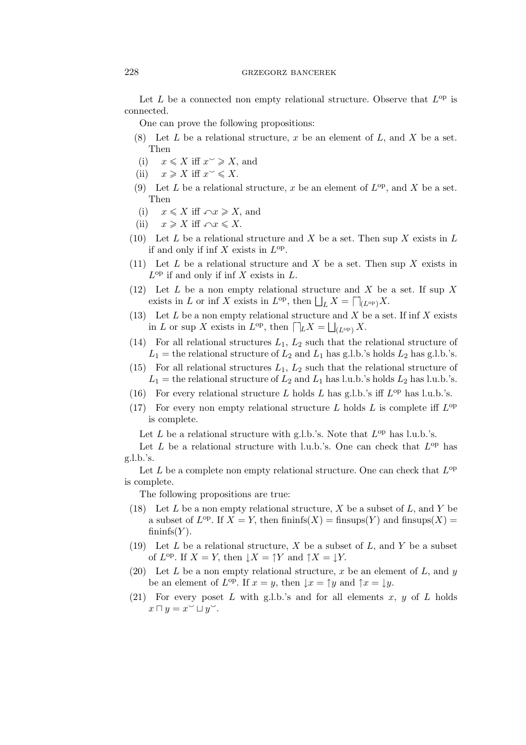# 228 grzegorz bancerek

Let  $L$  be a connected non empty relational structure. Observe that  $L^{op}$  is connected.

One can prove the following propositions:

- (8) Let  $L$  be a relational structure,  $x$  be an element of  $L$ , and  $X$  be a set. Then
- (i)  $x \leqslant X$  iff  $x^{\sim} \geqslant X$ , and
- (ii)  $x \geqslant X$  iff  $x \leqslant X$ .
- (9) Let L be a relational structure, x be an element of  $L^{op}$ , and X be a set. Then
- (i)  $x \leqslant X$  iff  $\bigcap x \geqslant X$ , and
- (ii)  $x \geqslant X$  iff  $\bigcap x \leqslant X$ .
- (10) Let L be a relational structure and X be a set. Then sup X exists in L if and only if inf  $X$  exists in  $L^{op}$ .
- (11) Let L be a relational structure and X be a set. Then sup X exists in  $L^{\text{op}}$  if and only if inf X exists in L.
- (12) Let L be a non empty relational structure and X be a set. If sup X exists in L or inf X exists in  $L^{\text{op}}$ , then  $\bigsqcup_{L} X = \bigcap_{(L^{\text{op}})} X$ .
- (13) Let  $L$  be a non empty relational structure and  $X$  be a set. If inf  $X$  exists in L or sup X exists in  $L^{op}$ , then  $\bigcap_{L} X = \bigsqcup_{(L^{op})} X$ .
- (14) For all relational structures  $L_1, L_2$  such that the relational structure of  $L_1$  = the relational structure of  $L_2$  and  $L_1$  has g.l.b.'s holds  $L_2$  has g.l.b.'s.
- (15) For all relational structures  $L_1, L_2$  such that the relational structure of  $L_1$  = the relational structure of  $L_2$  and  $L_1$  has l.u.b.'s holds  $L_2$  has l.u.b.'s.
- (16) For every relational structure L holds L has g.l.b.'s iff  $L^{\text{op}}$  has l.u.b.'s.
- (17) For every non empty relational structure L holds L is complete iff  $L^{\rm op}$ is complete.

Let  $L$  be a relational structure with g.l.b.'s. Note that  $L^{op}$  has l.u.b.'s.

Let  $L$  be a relational structure with l.u.b.'s. One can check that  $L^{op}$  has g.l.b.'s.

Let  $L$  be a complete non empty relational structure. One can check that  $L^{\text{op}}$ is complete.

The following propositions are true:

- (18) Let L be a non empty relational structure, X be a subset of L, and Y be a subset of  $L^{op}$ . If  $X = Y$ , then fininfs $(X) =$  finsups $(Y)$  and finsups $(X) =$  $fining(Y)$ .
- (19) Let  $L$  be a relational structure,  $X$  be a subset of  $L$ , and  $Y$  be a subset of  $L^{op}$ . If  $X = Y$ , then  $\downarrow X = \uparrow Y$  and  $\uparrow X = \downarrow Y$ .
- (20) Let L be a non empty relational structure, x be an element of L, and y be an element of  $L^{\text{op}}$ . If  $x = y$ , then  $\downarrow x = \uparrow y$  and  $\uparrow x = \downarrow y$ .
- (21) For every poset L with g.l.b.'s and for all elements x, y of L holds  $x \sqcap y = x^{\circ} \sqcup y^{\circ}$ .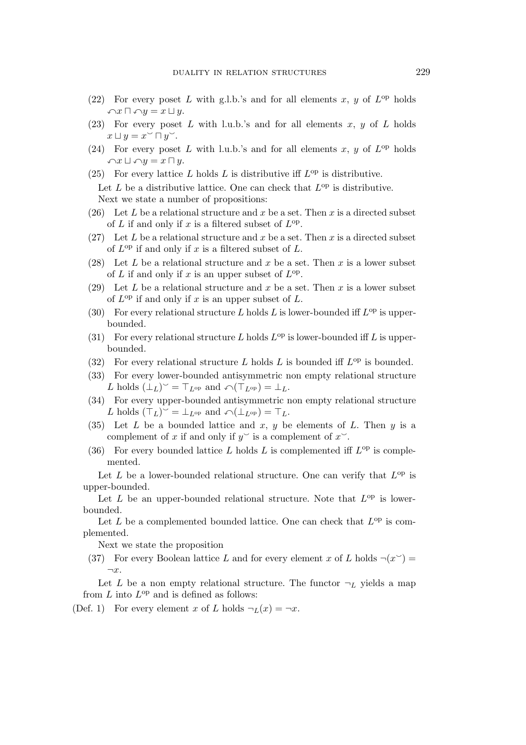- (22) For every poset L with g.l.b.'s and for all elements x, y of  $L^{\rm op}$  holds  $\bigcap x \sqcap \bigcap y = x \sqcup y.$
- (23) For every poset L with l.u.b.'s and for all elements  $x, y$  of L holds  $x \sqcup y = x \stackrel{\circ}{\smile} \sqcap y \stackrel{\smile}{\smile}.$
- (24) For every poset L with l.u.b.'s and for all elements x, y of  $L^{\rm op}$  holds  $\cap x \sqcup \cap y = x \sqcap y.$
- (25) For every lattice L holds L is distributive iff  $L^{\rm op}$  is distributive. Let  $L$  be a distributive lattice. One can check that  $L^{op}$  is distributive. Next we state a number of propositions:
- (26) Let L be a relational structure and x be a set. Then x is a directed subset of L if and only if x is a filtered subset of  $L^{\text{op}}$ .
- (27) Let L be a relational structure and x be a set. Then x is a directed subset of  $L^{\text{op}}$  if and only if x is a filtered subset of L.
- (28) Let L be a relational structure and x be a set. Then x is a lower subset of L if and only if x is an upper subset of  $L^{\text{op}}$ .
- (29) Let L be a relational structure and x be a set. Then x is a lower subset of  $L^{op}$  if and only if x is an upper subset of L.
- (30) For every relational structure L holds L is lower-bounded iff  $L^{\rm op}$  is upperbounded.
- (31) For every relational structure L holds  $L^{\rm op}$  is lower-bounded iff L is upperbounded.
- (32) For every relational structure L holds L is bounded iff  $L^{op}$  is bounded.
- (33) For every lower-bounded antisymmetric non empty relational structure L holds  $(L_L)$   $\subset$   $\top_{L^{op}}$  and  $\curvearrowleft(\top_{L^{op}}) = L_L$ .
- (34) For every upper-bounded antisymmetric non empty relational structure L holds  $(T_L)^{\sim} = \perp_{L^{op}}$  and  $\curvearrowleft (\perp_{L^{op}}) = T_L$ .
- (35) Let L be a bounded lattice and x, y be elements of L. Then y is a complement of x if and only if  $y^{\sim}$  is a complement of  $x^{\sim}$ .
- (36) For every bounded lattice L holds L is complemented iff  $L^{\rm op}$  is complemented.

Let  $L$  be a lower-bounded relational structure. One can verify that  $L^{op}$  is upper-bounded.

Let  $L$  be an upper-bounded relational structure. Note that  $L^{op}$  is lowerbounded.

Let  $L$  be a complemented bounded lattice. One can check that  $L^{op}$  is complemented.

Next we state the proposition

(37) For every Boolean lattice L and for every element x of L holds  $\neg(x^{\smile})$  = *¬*x.

Let L be a non empty relational structure. The functor  $\neg_L$  yields a map from  $L$  into  $L^{op}$  and is defined as follows:

(Def. 1) For every element x of L holds  $\neg_L(x) = \neg x$ .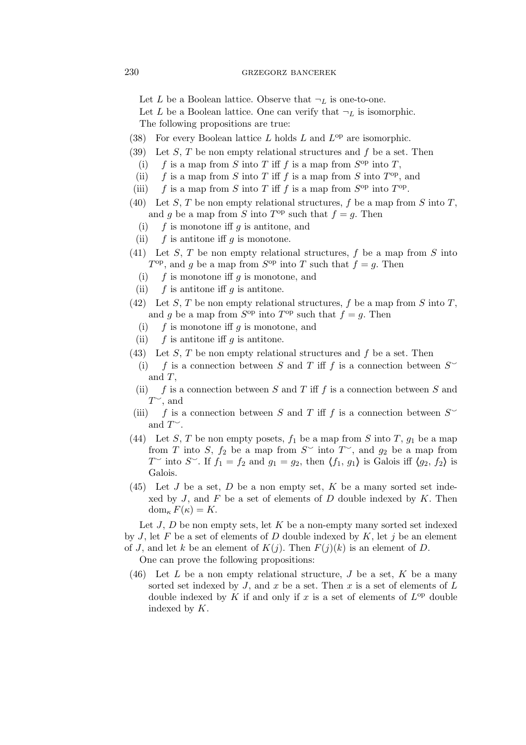# 230 GRZEGORZ BANCEREK

Let L be a Boolean lattice. Observe that  $\neg_L$  is one-to-one.

Let L be a Boolean lattice. One can verify that  $\neg_L$  is isomorphic. The following propositions are true:

- (38) For every Boolean lattice  $L$  holds  $L$  and  $L^{op}$  are isomorphic.
- (39) Let S, T be non empty relational structures and f be a set. Then
	- (i)  $f$  is a map from  $S$  into  $T$  iff  $f$  is a map from  $S^{\text{op}}$  into  $T$ ,
	- (ii)  $f$  is a map from S into T iff f is a map from S into  $T^{op}$ , and
- (iii)  $f$  is a map from S into T iff f is a map from  $S^{\text{op}}$  into  $T^{\text{op}}$ .
- (40) Let S, T be non empty relational structures, f be a map from S into T, and g be a map from S into  $T^{op}$  such that  $f = g$ . Then
	- (i)  $f$  is monotone iff g is antitone, and
	- (ii)  $f$  is antitone iff g is monotone.
- (41) Let S, T be non empty relational structures,  $f$  be a map from  $S$  into  $T^{\text{op}}$ , and g be a map from  $S^{\text{op}}$  into T such that  $f = g$ . Then
	- (i)  $f$  is monotone iff g is monotone, and
	- (ii)  $f$  is antitone iff g is antitone.
- (42) Let S, T be non empty relational structures, f be a map from S into T, and g be a map from  $S^{\text{op}}$  into  $T^{\text{op}}$  such that  $f = g$ . Then
	- (i)  $f$  is monotone iff g is monotone, and
	- (ii)  $f$  is antitone iff g is antitone.
- (43) Let  $S$ ,  $T$  be non empty relational structures and  $f$  be a set. Then
	- (i) f is a connection between S and T iff f is a connection between  $S^{\sim}$ and  $T$ ,
	- (ii) f is a connection between S and T iff f is a connection between S and  $T^{\sim}$ , and
- (iii) f is a connection between S and T iff f is a connection between  $S^{\sim}$ and  $\Gamma^{\sim}$ .
- (44) Let S, T be non empty posets,  $f_1$  be a map from S into T,  $g_1$  be a map from T into S,  $f_2$  be a map from  $S^{\sim}$  into  $T^{\sim}$ , and  $g_2$  be a map from  $T^{\sim}$  into  $S^{\sim}$ . If  $f_1 = f_2$  and  $g_1 = g_2$ , then  $\langle f_1, g_1 \rangle$  is Galois iff  $\langle g_2, f_2 \rangle$  is Galois.
- $(45)$  Let J be a set, D be a non empty set, K be a many sorted set indexed by  $J$ , and  $F$  be a set of elements of  $D$  double indexed by  $K$ . Then dom<sub>κ</sub> $F(\kappa) = K$ .

Let  $J, D$  be non empty sets, let  $K$  be a non-empty many sorted set indexed by J, let F be a set of elements of D double indexed by  $K$ , let j be an element of J, and let k be an element of  $K(j)$ . Then  $F(j)(k)$  is an element of D.

One can prove the following propositions:

(46) Let  $L$  be a non empty relational structure,  $J$  be a set,  $K$  be a many sorted set indexed by J, and x be a set. Then x is a set of elements of  $L$ double indexed by K if and only if x is a set of elements of  $L^{op}$  double indexed by K.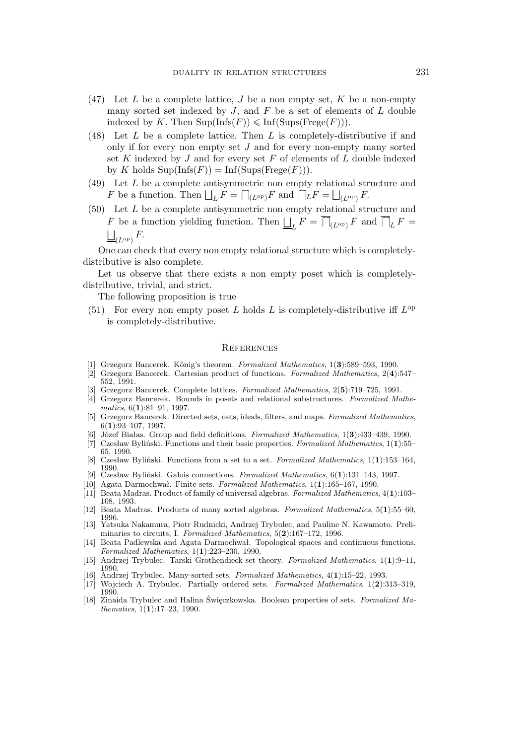- (47) Let L be a complete lattice, J be a non empty set, K be a non-empty many sorted set indexed by  $J$ , and  $F$  be a set of elements of  $L$  double indexed by K. Then  $\text{Sup}(\text{Infs}(F)) \leq \text{Inf}(\text{Sups}(\text{Free}(F))).$
- (48) Let L be a complete lattice. Then L is completely-distributive if and only if for every non empty set  $J$  and for every non-empty many sorted set  $K$  indexed by  $J$  and for every set  $F$  of elements of  $L$  double indexed by K holds  $\text{Sup}(\text{Infs}(F)) = \text{Inf}(\text{Sups}(\text{Free}(F))).$
- (49) Let L be a complete antisymmetric non empty relational structure and F be a function. Then  $\bigsqcup_{L} F = \bigcap_{(L^{\text{op}}) } F$  and  $\bigcap_{L} F = \bigsqcup_{(L^{\text{op}}) } F$ .
- (50) Let L be a complete antisymmetric non empty relational structure and F be a function yielding function. Then  $\bigsqcup_{L} F = \overline{\bigcap}_{(L^{\text{op}})} F$  and  $\overline{\bigcap}_{L} F =$  $\bigsqcup_{(L^{\rm op})} F$ .

One can check that every non empty relational structure which is completelydistributive is also complete.

Let us observe that there exists a non empty poset which is completelydistributive, trivial, and strict.

The following proposition is true

(51) For every non empty poset L holds L is completely-distributive iff  $L^{\rm op}$ is completely-distributive.

### **REFERENCES**

- [1] Grzegorz Bancerek. König's theorem. *Formalized Mathematics*, 1(3):589–593, 1990.
- [2] Grzegorz Bancerek. Cartesian product of functions. *Formalized Mathematics*, 2(**4**):547– 552, 1991.
- [3] Grzegorz Bancerek. Complete lattices. *Formalized Mathematics*, 2(**5**):719–725, 1991.
- [4] Grzegorz Bancerek. Bounds in posets and relational substructures. *Formalized Mathematics*, 6(**1**):81–91, 1997.
- [5] Grzegorz Bancerek. Directed sets, nets, ideals, filters, and maps. *Formalized Mathematics*, 6(**1**):93–107, 1997.
- [6] Józef Białas. Group and field definitions. *Formalized Mathematics*, 1(**3**):433–439, 1990.
- [7] Czesław Byliński. Functions and their basic properties. *Formalized Mathematics*, 1(**1**):55– 65, 1990.
- [8] Czesław Byliński. Functions from a set to a set. *Formalized Mathematics*, 1(**1**):153–164, 1990.
- [9] Czesław Byliński. Galois connections. *Formalized Mathematics*, 6(**1**):131–143, 1997.
- [10] Agata Darmochwał. Finite sets. *Formalized Mathematics*, 1(**1**):165–167, 1990.
- [11] Beata Madras. Product of family of universal algebras. *Formalized Mathematics*, 4(**1**):103– 108, 1993.
- [12] Beata Madras. Products of many sorted algebras. *Formalized Mathematics*, 5(**1**):55–60, 1996.
- [13] Yatsuka Nakamura, Piotr Rudnicki, Andrzej Trybulec, and Pauline N. Kawamoto. Preliminaries to circuits, I. *Formalized Mathematics*, 5(**2**):167–172, 1996.
- [14] Beata Padlewska and Agata Darmochwał. Topological spaces and continuous functions. *Formalized Mathematics*, 1(**1**):223–230, 1990.
- [15] Andrzej Trybulec. Tarski Grothendieck set theory. *Formalized Mathematics*, 1(**1**):9–11, 1990.
- [16] Andrzej Trybulec. Many-sorted sets. *Formalized Mathematics*, 4(**1**):15–22, 1993.
- [17] Wojciech A. Trybulec. Partially ordered sets. *Formalized Mathematics*, 1(**2**):313–319, 1990.
- [18] Zinaida Trybulec and Halina Święczkowska. Boolean properties of sets. *Formalized Mathematics*, 1(**1**):17–23, 1990.